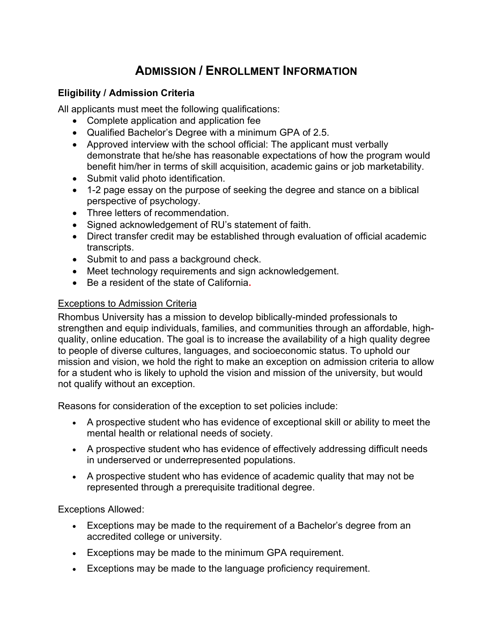# ADMISSION / ENROLLMENT INFORMATION

# Eligibility / Admission Criteria

All applicants must meet the following qualifications:

- Complete application and application fee
- Qualified Bachelor's Degree with a minimum GPA of 2.5.
- Approved interview with the school official: The applicant must verbally demonstrate that he/she has reasonable expectations of how the program would benefit him/her in terms of skill acquisition, academic gains or job marketability.
- Submit valid photo identification.
- 1-2 page essay on the purpose of seeking the degree and stance on a biblical perspective of psychology.
- Three letters of recommendation.
- Signed acknowledgement of RU's statement of faith.
- Direct transfer credit may be established through evaluation of official academic transcripts.
- Submit to and pass a background check.
- Meet technology requirements and sign acknowledgement.
- Be a resident of the state of California.

#### **Exceptions to Admission Criteria**

Rhombus University has a mission to develop biblically-minded professionals to strengthen and equip individuals, families, and communities through an affordable, highquality, online education. The goal is to increase the availability of a high quality degree to people of diverse cultures, languages, and socioeconomic status. To uphold our mission and vision, we hold the right to make an exception on admission criteria to allow for a student who is likely to uphold the vision and mission of the university, but would not qualify without an exception.

Reasons for consideration of the exception to set policies include:

- A prospective student who has evidence of exceptional skill or ability to meet the mental health or relational needs of society.
- A prospective student who has evidence of effectively addressing difficult needs in underserved or underrepresented populations.
- A prospective student who has evidence of academic quality that may not be represented through a prerequisite traditional degree.

Exceptions Allowed:

- Exceptions may be made to the requirement of a Bachelor's degree from an accredited college or university.
- Exceptions may be made to the minimum GPA requirement.
- Exceptions may be made to the language proficiency requirement.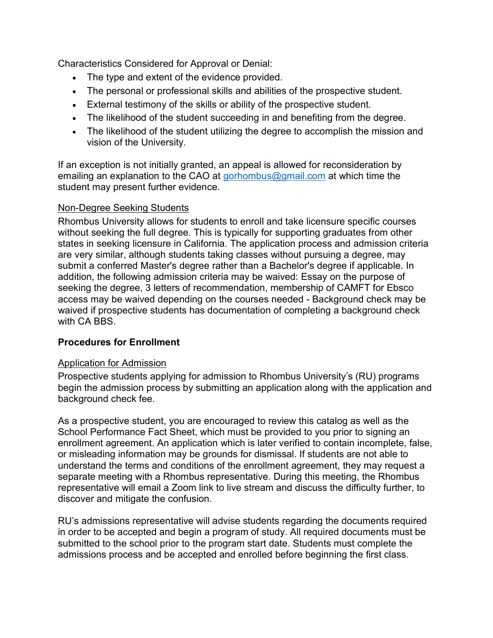Characteristics Considered for Approval or Denial:

- The type and extent of the evidence provided.
- The personal or professional skills and abilities of the prospective student.
- External testimony of the skills or ability of the prospective student.
- The likelihood of the student succeeding in and benefiting from the degree.
- The likelihood of the student utilizing the degree to accomplish the mission and vision of the University.

If an exception is not initially granted, an appeal is allowed for reconsideration by emailing an explanation to the CAO at gorhombus@gmail.com at which time the student may present further evidence.

## Non-Degree Seeking Students

Rhombus University allows for students to enroll and take licensure specific courses without seeking the full degree. This is typically for supporting graduates from other states in seeking licensure in California. The application process and admission criteria are very similar, although students taking classes without pursuing a degree, may submit a conferred Master's degree rather than a Bachelor's degree if applicable. In addition, the following admission criteria may be waived: Essay on the purpose of seeking the degree, 3 letters of recommendation, membership of CAMFT for Ebsco access may be waived depending on the courses needed - Background check may be waived if prospective students has documentation of completing a background check with CA BBS

# Procedures for Enrollment

#### Application for Admission

Prospective students applying for admission to Rhombus University's (RU) programs begin the admission process by submitting an application along with the application and background check fee.

As a prospective student, you are encouraged to review this catalog as well as the School Performance Fact Sheet, which must be provided to you prior to signing an enrollment agreement. An application which is later verified to contain incomplete, false, or misleading information may be grounds for dismissal. If students are not able to understand the terms and conditions of the enrollment agreement, they may request a separate meeting with a Rhombus representative. During this meeting, the Rhombus representative will email a Zoom link to live stream and discuss the difficulty further, to discover and mitigate the confusion.

RU's admissions representative will advise students regarding the documents required in order to be accepted and begin a program of study. All required documents must be submitted to the school prior to the program start date. Students must complete the admissions process and be accepted and enrolled before beginning the first class.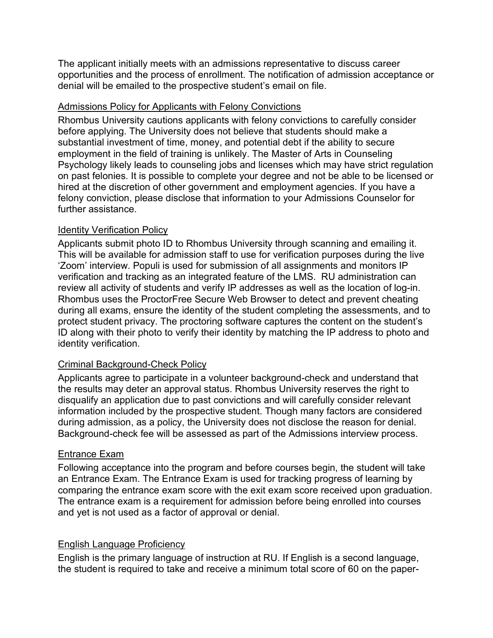The applicant initially meets with an admissions representative to discuss career opportunities and the process of enrollment. The notification of admission acceptance or denial will be emailed to the prospective student's email on file.

#### Admissions Policy for Applicants with Felony Convictions

Rhombus University cautions applicants with felony convictions to carefully consider before applying. The University does not believe that students should make a substantial investment of time, money, and potential debt if the ability to secure employment in the field of training is unlikely. The Master of Arts in Counseling Psychology likely leads to counseling jobs and licenses which may have strict regulation on past felonies. It is possible to complete your degree and not be able to be licensed or hired at the discretion of other government and employment agencies. If you have a felony conviction, please disclose that information to your Admissions Counselor for further assistance.

## Identity Verification Policy

Applicants submit photo ID to Rhombus University through scanning and emailing it. This will be available for admission staff to use for verification purposes during the live 'Zoom' interview. Populi is used for submission of all assignments and monitors IP verification and tracking as an integrated feature of the LMS. RU administration can review all activity of students and verify IP addresses as well as the location of log-in. Rhombus uses the ProctorFree Secure Web Browser to detect and prevent cheating during all exams, ensure the identity of the student completing the assessments, and to protect student privacy. The proctoring software captures the content on the student's ID along with their photo to verify their identity by matching the IP address to photo and identity verification.

# Criminal Background-Check Policy

Applicants agree to participate in a volunteer background-check and understand that the results may deter an approval status. Rhombus University reserves the right to disqualify an application due to past convictions and will carefully consider relevant information included by the prospective student. Though many factors are considered during admission, as a policy, the University does not disclose the reason for denial. Background-check fee will be assessed as part of the Admissions interview process.

#### Entrance Exam

Following acceptance into the program and before courses begin, the student will take an Entrance Exam. The Entrance Exam is used for tracking progress of learning by comparing the entrance exam score with the exit exam score received upon graduation. The entrance exam is a requirement for admission before being enrolled into courses and yet is not used as a factor of approval or denial.

#### English Language Proficiency

English is the primary language of instruction at RU. If English is a second language, the student is required to take and receive a minimum total score of 60 on the paper-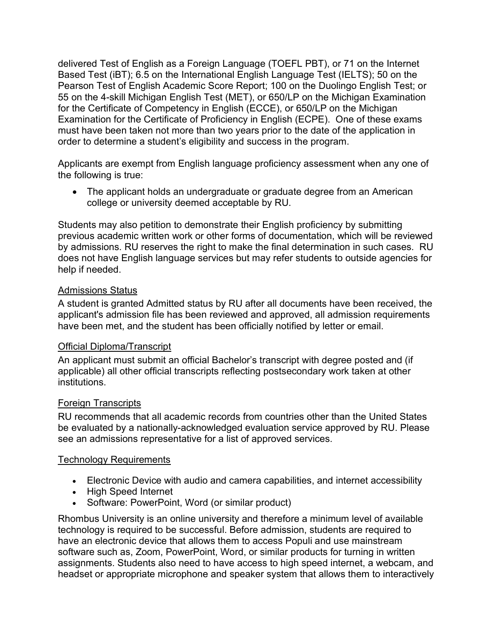delivered Test of English as a Foreign Language (TOEFL PBT), or 71 on the Internet Based Test (iBT); 6.5 on the International English Language Test (IELTS); 50 on the Pearson Test of English Academic Score Report; 100 on the Duolingo English Test; or 55 on the 4-skill Michigan English Test (MET), or 650/LP on the Michigan Examination for the Certificate of Competency in English (ECCE), or 650/LP on the Michigan Examination for the Certificate of Proficiency in English (ECPE). One of these exams must have been taken not more than two years prior to the date of the application in order to determine a student's eligibility and success in the program.

Applicants are exempt from English language proficiency assessment when any one of the following is true:

• The applicant holds an undergraduate or graduate degree from an American college or university deemed acceptable by RU.

Students may also petition to demonstrate their English proficiency by submitting previous academic written work or other forms of documentation, which will be reviewed by admissions. RU reserves the right to make the final determination in such cases. RU does not have English language services but may refer students to outside agencies for help if needed.

#### Admissions Status

A student is granted Admitted status by RU after all documents have been received, the applicant's admission file has been reviewed and approved, all admission requirements have been met, and the student has been officially notified by letter or email.

#### Official Diploma/Transcript

An applicant must submit an official Bachelor's transcript with degree posted and (if applicable) all other official transcripts reflecting postsecondary work taken at other institutions.

#### Foreign Transcripts

RU recommends that all academic records from countries other than the United States be evaluated by a nationally-acknowledged evaluation service approved by RU. Please see an admissions representative for a list of approved services.

#### Technology Requirements

- Electronic Device with audio and camera capabilities, and internet accessibility
- High Speed Internet
- Software: PowerPoint, Word (or similar product)

Rhombus University is an online university and therefore a minimum level of available technology is required to be successful. Before admission, students are required to have an electronic device that allows them to access Populi and use mainstream software such as, Zoom, PowerPoint, Word, or similar products for turning in written assignments. Students also need to have access to high speed internet, a webcam, and headset or appropriate microphone and speaker system that allows them to interactively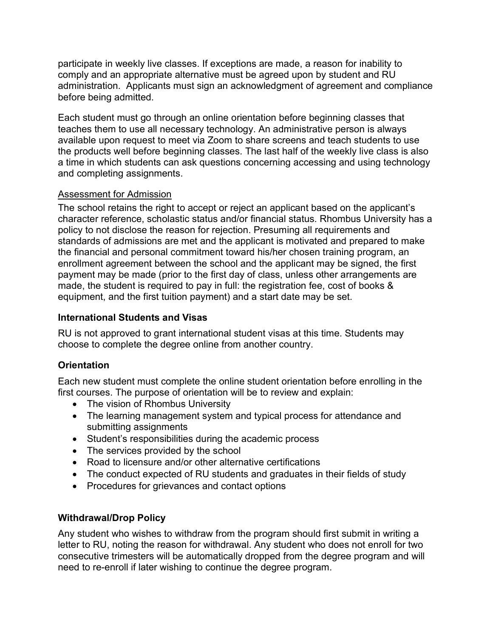participate in weekly live classes. If exceptions are made, a reason for inability to comply and an appropriate alternative must be agreed upon by student and RU administration. Applicants must sign an acknowledgment of agreement and compliance before being admitted.

Each student must go through an online orientation before beginning classes that teaches them to use all necessary technology. An administrative person is always available upon request to meet via Zoom to share screens and teach students to use the products well before beginning classes. The last half of the weekly live class is also a time in which students can ask questions concerning accessing and using technology and completing assignments.

## Assessment for Admission

The school retains the right to accept or reject an applicant based on the applicant's character reference, scholastic status and/or financial status. Rhombus University has a policy to not disclose the reason for rejection. Presuming all requirements and standards of admissions are met and the applicant is motivated and prepared to make the financial and personal commitment toward his/her chosen training program, an enrollment agreement between the school and the applicant may be signed, the first payment may be made (prior to the first day of class, unless other arrangements are made, the student is required to pay in full: the registration fee, cost of books & equipment, and the first tuition payment) and a start date may be set.

## International Students and Visas

RU is not approved to grant international student visas at this time. Students may choose to complete the degree online from another country.

# **Orientation**

Each new student must complete the online student orientation before enrolling in the first courses. The purpose of orientation will be to review and explain:

- The vision of Rhombus University
- The learning management system and typical process for attendance and submitting assignments
- Student's responsibilities during the academic process
- The services provided by the school
- Road to licensure and/or other alternative certifications
- The conduct expected of RU students and graduates in their fields of study
- Procedures for grievances and contact options

# Withdrawal/Drop Policy

Any student who wishes to withdraw from the program should first submit in writing a letter to RU, noting the reason for withdrawal. Any student who does not enroll for two consecutive trimesters will be automatically dropped from the degree program and will need to re-enroll if later wishing to continue the degree program.